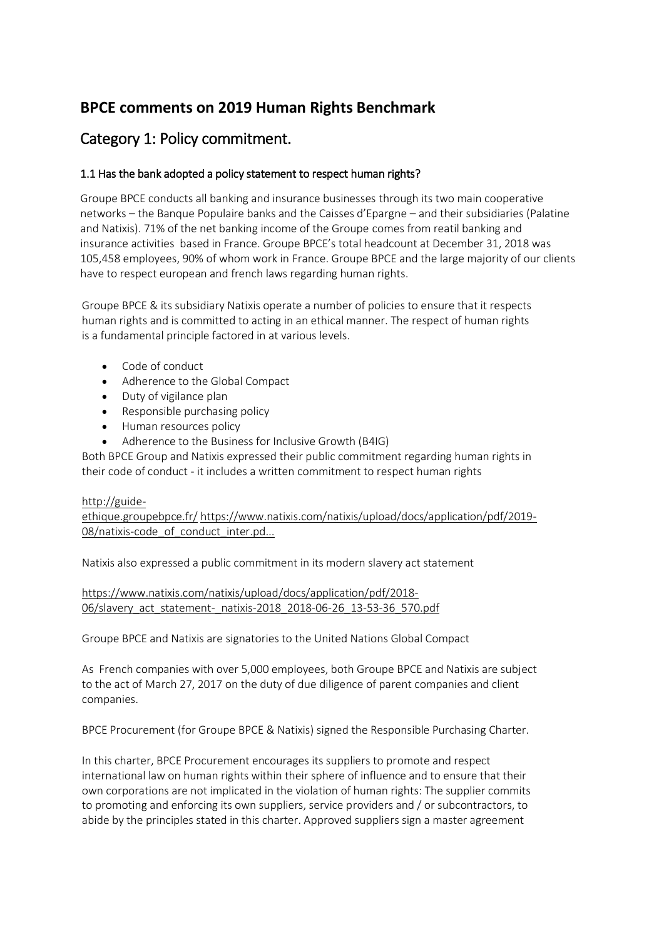# **BPCE comments on 2019 Human Rights Benchmark**

# Category 1: Policy commitment.

# 1.1 Has the bank adopted a policy statement to respect human rights?

Groupe BPCE conducts all banking and insurance businesses through its two main cooperative networks – the Banque Populaire banks and the Caisses d'Epargne – and their subsidiaries (Palatine and Natixis). 71% of the net banking income of the Groupe comes from reatil banking and insurance activities based in France. Groupe BPCE's total headcount at December 31, 2018 was 105,458 employees, 90% of whom work in France. Groupe BPCE and the large majority of our clients have to respect european and french laws regarding human rights.

Groupe BPCE & its subsidiary Natixis operate a number of policies to ensure that it respects human rights and is committed to acting in an ethical manner. The respect of human rights is a fundamental principle factored in at various levels.

- Code of conduct
- Adherence to the Global Compact
- Duty of vigilance plan
- Responsible purchasing policy
- Human resources policy
- Adherence to the Business for Inclusive Growth (B4IG)

Both BPCE Group and Natixis expressed their public commitment regarding human rights in their code of conduct - it includes a written commitment to respect human rights

### [http://guide-](http://guide-ethique.groupebpce.fr/)

[ethique.groupebpce.fr/](http://guide-ethique.groupebpce.fr/) [https://www.natixis.com/natixis/upload/docs/application/pdf/2019-](https://www.natixis.com/natixis/upload/docs/application/pdf/2019-08/natixis-code_of_conduct_inter.pdf) 08/natixis-code of conduct inter.pd...

Natixis also expressed a public commitment in its modern slavery act statement

[https://www.natixis.com/natixis/upload/docs/application/pdf/2018-](https://www.natixis.com/natixis/upload/docs/application/pdf/2018-06/slavery_act_statement-_natixis-2018_2018-06-26_13-53-36_570.pdf) [06/slavery\\_act\\_statement-\\_natixis-2018\\_2018-06-26\\_13-53-36\\_570.pdf](https://www.natixis.com/natixis/upload/docs/application/pdf/2018-06/slavery_act_statement-_natixis-2018_2018-06-26_13-53-36_570.pdf)

Groupe BPCE and Natixis are signatories to the United Nations Global Compact

As French companies with over 5,000 employees, both Groupe BPCE and Natixis are subject to the act of March 27, 2017 on the duty of due diligence of parent companies and client companies.

BPCE Procurement (for Groupe BPCE & Natixis) signed the Responsible Purchasing Charter.

In this charter, BPCE Procurement encourages its suppliers to promote and respect international law on human rights within their sphere of influence and to ensure that their own corporations are not implicated in the violation of human rights: The supplier commits to promoting and enforcing its own suppliers, service providers and / or subcontractors, to abide by the principles stated in this charter. Approved suppliers sign a master agreement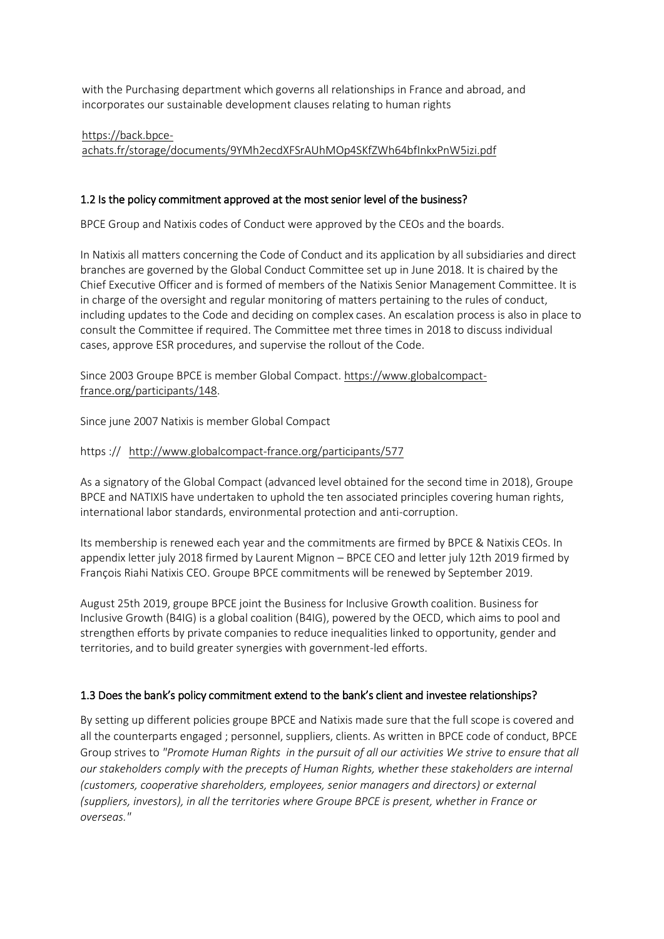with the Purchasing department which governs all relationships in France and abroad, and incorporates our sustainable development clauses relating to human rights

[https://back.bpce](https://back.bpce-achats.fr/storage/documents/9YMh2ecdXFSrAUhMOp4SKfZWh64bfInkxPnW5izi.pdf)[achats.fr/storage/documents/9YMh2ecdXFSrAUhMOp4SKfZWh64bfInkxPnW5izi.pdf](https://back.bpce-achats.fr/storage/documents/9YMh2ecdXFSrAUhMOp4SKfZWh64bfInkxPnW5izi.pdf)

## 1.2 Is the policy commitment approved at the most senior level of the business?

BPCE Group and Natixis codes of Conduct were approved by the CEOs and the boards.

In Natixis all matters concerning the Code of Conduct and its application by all subsidiaries and direct branches are governed by the Global Conduct Committee set up in June 2018. It is chaired by the Chief Executive Officer and is formed of members of the Natixis Senior Management Committee. It is in charge of the oversight and regular monitoring of matters pertaining to the rules of conduct, including updates to the Code and deciding on complex cases. An escalation process is also in place to consult the Committee if required. The Committee met three times in 2018 to discuss individual cases, approve ESR procedures, and supervise the rollout of the Code.

Since 2003 Groupe BPCE is member Global Compact. [https://www.globalcompact](https://www.globalcompact-france.org/participants/148)[france.org/participants/148.](https://www.globalcompact-france.org/participants/148)

Since june 2007 Natixis is member Global Compact

### https :// <http://www.globalcompact-france.org/participants/577>

As a signatory of the Global Compact (advanced level obtained for the second time in 2018), Groupe BPCE and NATIXIS have undertaken to uphold the ten associated principles covering human rights, international labor standards, environmental protection and anti-corruption.

Its membership is renewed each year and the commitments are firmed by BPCE & Natixis CEOs. In appendix letter july 2018 firmed by Laurent Mignon – BPCE CEO and letter july 12th 2019 firmed by François Riahi Natixis CEO. Groupe BPCE commitments will be renewed by September 2019.

August 25th 2019, groupe BPCE joint the Business for Inclusive Growth coalition. Business for Inclusive Growth (B4IG) is a global coalition (B4IG), powered by the OECD, which aims to pool and strengthen efforts by private companies to reduce inequalities linked to opportunity, gender and territories, and to build greater synergies with government-led efforts.

### 1.3 Does the bank's policy commitment extend to the bank's client and investee relationships?

By setting up different policies groupe BPCE and Natixis made sure that the full scope is covered and all the counterparts engaged ; personnel, suppliers, clients. As written in BPCE code of conduct, BPCE Group strives to *"Promote Human Rights in the pursuit of all our activities We strive to ensure that all our stakeholders comply with the precepts of Human Rights, whether these stakeholders are internal (customers, cooperative shareholders, employees, senior managers and directors) or external (suppliers, investors), in all the territories where Groupe BPCE is present, whether in France or overseas."*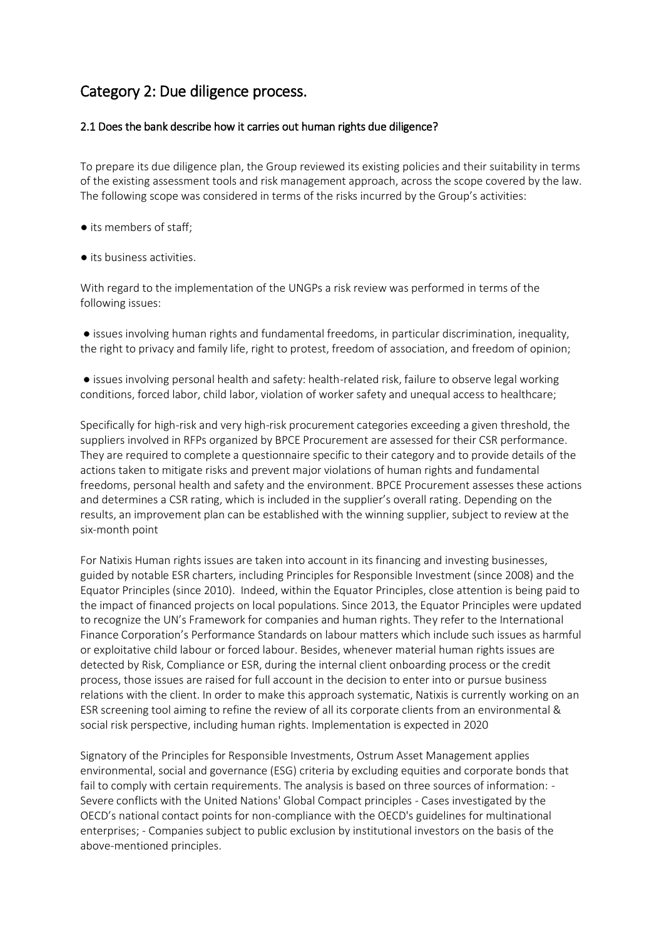# Category 2: Due diligence process.

### 2.1 Does the bank describe how it carries out human rights due diligence?

To prepare its due diligence plan, the Group reviewed its existing policies and their suitability in terms of the existing assessment tools and risk management approach, across the scope covered by the law. The following scope was considered in terms of the risks incurred by the Group's activities:

- its members of staff;
- its business activities.

With regard to the implementation of the UNGPs a risk review was performed in terms of the following issues:

● issues involving human rights and fundamental freedoms, in particular discrimination, inequality, the right to privacy and family life, right to protest, freedom of association, and freedom of opinion;

● issues involving personal health and safety: health-related risk, failure to observe legal working conditions, forced labor, child labor, violation of worker safety and unequal access to healthcare;

Specifically for high-risk and very high-risk procurement categories exceeding a given threshold, the suppliers involved in RFPs organized by BPCE Procurement are assessed for their CSR performance. They are required to complete a questionnaire specific to their category and to provide details of the actions taken to mitigate risks and prevent major violations of human rights and fundamental freedoms, personal health and safety and the environment. BPCE Procurement assesses these actions and determines a CSR rating, which is included in the supplier's overall rating. Depending on the results, an improvement plan can be established with the winning supplier, subject to review at the six-month point

For Natixis Human rights issues are taken into account in its financing and investing businesses, guided by notable ESR charters, including Principles for Responsible Investment (since 2008) and the Equator Principles (since 2010). Indeed, within the Equator Principles, close attention is being paid to the impact of financed projects on local populations. Since 2013, the Equator Principles were updated to recognize the UN's Framework for companies and human rights. They refer to the International Finance Corporation's Performance Standards on labour matters which include such issues as harmful or exploitative child labour or forced labour. Besides, whenever material human rights issues are detected by Risk, Compliance or ESR, during the internal client onboarding process or the credit process, those issues are raised for full account in the decision to enter into or pursue business relations with the client. In order to make this approach systematic, Natixis is currently working on an ESR screening tool aiming to refine the review of all its corporate clients from an environmental & social risk perspective, including human rights. Implementation is expected in 2020

Signatory of the Principles for Responsible Investments, Ostrum Asset Management applies environmental, social and governance (ESG) criteria by excluding equities and corporate bonds that fail to comply with certain requirements. The analysis is based on three sources of information: - Severe conflicts with the United Nations' Global Compact principles - Cases investigated by the OECD's national contact points for non-compliance with the OECD's guidelines for multinational enterprises; - Companies subject to public exclusion by institutional investors on the basis of the above-mentioned principles.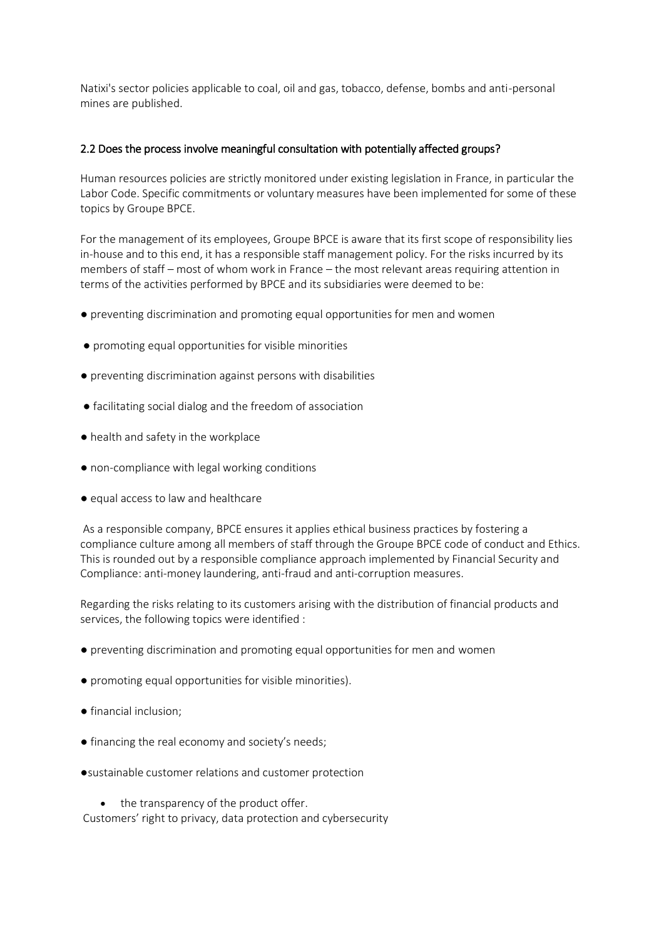Natixi's sector policies applicable to coal, oil and gas, tobacco, defense, bombs and anti-personal mines are published.

### 2.2 Does the process involve meaningful consultation with potentially affected groups?

Human resources policies are strictly monitored under existing legislation in France, in particular the Labor Code. Specific commitments or voluntary measures have been implemented for some of these topics by Groupe BPCE.

For the management of its employees, Groupe BPCE is aware that its first scope of responsibility lies in-house and to this end, it has a responsible staff management policy. For the risks incurred by its members of staff – most of whom work in France – the most relevant areas requiring attention in terms of the activities performed by BPCE and its subsidiaries were deemed to be:

- preventing discrimination and promoting equal opportunities for men and women
- promoting equal opportunities for visible minorities
- preventing discrimination against persons with disabilities
- facilitating social dialog and the freedom of association
- health and safety in the workplace
- non-compliance with legal working conditions
- equal access to law and healthcare

As a responsible company, BPCE ensures it applies ethical business practices by fostering a compliance culture among all members of staff through the Groupe BPCE code of conduct and Ethics. This is rounded out by a responsible compliance approach implemented by Financial Security and Compliance: anti-money laundering, anti-fraud and anti-corruption measures.

Regarding the risks relating to its customers arising with the distribution of financial products and services, the following topics were identified :

- preventing discrimination and promoting equal opportunities for men and women
- promoting equal opportunities for visible minorities).
- financial inclusion;
- financing the real economy and society's needs;
- ●sustainable customer relations and customer protection

• the transparency of the product offer. Customers' right to privacy, data protection and cybersecurity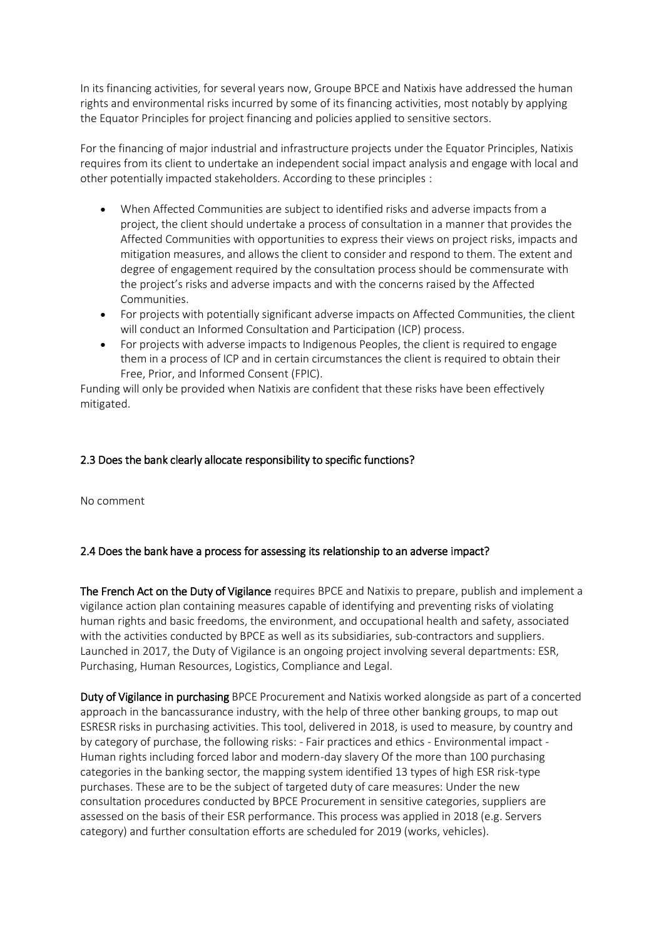In its financing activities, for several years now, Groupe BPCE and Natixis have addressed the human rights and environmental risks incurred by some of its financing activities, most notably by applying the Equator Principles for project financing and policies applied to sensitive sectors.

For the financing of major industrial and infrastructure projects under the Equator Principles, Natixis requires from its client to undertake an independent social impact analysis and engage with local and other potentially impacted stakeholders. According to these principles :

- When Affected Communities are subject to identified risks and adverse impacts from a project, the client should undertake a process of consultation in a manner that provides the Affected Communities with opportunities to express their views on project risks, impacts and mitigation measures, and allows the client to consider and respond to them. The extent and degree of engagement required by the consultation process should be commensurate with the project's risks and adverse impacts and with the concerns raised by the Affected Communities.
- For projects with potentially significant adverse impacts on Affected Communities, the client will conduct an Informed Consultation and Participation (ICP) process.
- For projects with adverse impacts to Indigenous Peoples, the client is required to engage them in a process of ICP and in certain circumstances the client is required to obtain their Free, Prior, and Informed Consent (FPIC).

Funding will only be provided when Natixis are confident that these risks have been effectively mitigated.

### 2.3 Does the bank clearly allocate responsibility to specific functions?

No comment

### 2.4 Does the bank have a process for assessing its relationship to an adverse impact?

The French Act on the Duty of Vigilance requires BPCE and Natixis to prepare, publish and implement a vigilance action plan containing measures capable of identifying and preventing risks of violating human rights and basic freedoms, the environment, and occupational health and safety, associated with the activities conducted by BPCE as well as its subsidiaries, sub-contractors and suppliers. Launched in 2017, the Duty of Vigilance is an ongoing project involving several departments: ESR, Purchasing, Human Resources, Logistics, Compliance and Legal.

Duty of Vigilance in purchasing BPCE Procurement and Natixis worked alongside as part of a concerted approach in the bancassurance industry, with the help of three other banking groups, to map out ESRESR risks in purchasing activities. This tool, delivered in 2018, is used to measure, by country and by category of purchase, the following risks: - Fair practices and ethics - Environmental impact - Human rights including forced labor and modern-day slavery Of the more than 100 purchasing categories in the banking sector, the mapping system identified 13 types of high ESR risk-type purchases. These are to be the subject of targeted duty of care measures: Under the new consultation procedures conducted by BPCE Procurement in sensitive categories, suppliers are assessed on the basis of their ESR performance. This process was applied in 2018 (e.g. Servers category) and further consultation efforts are scheduled for 2019 (works, vehicles).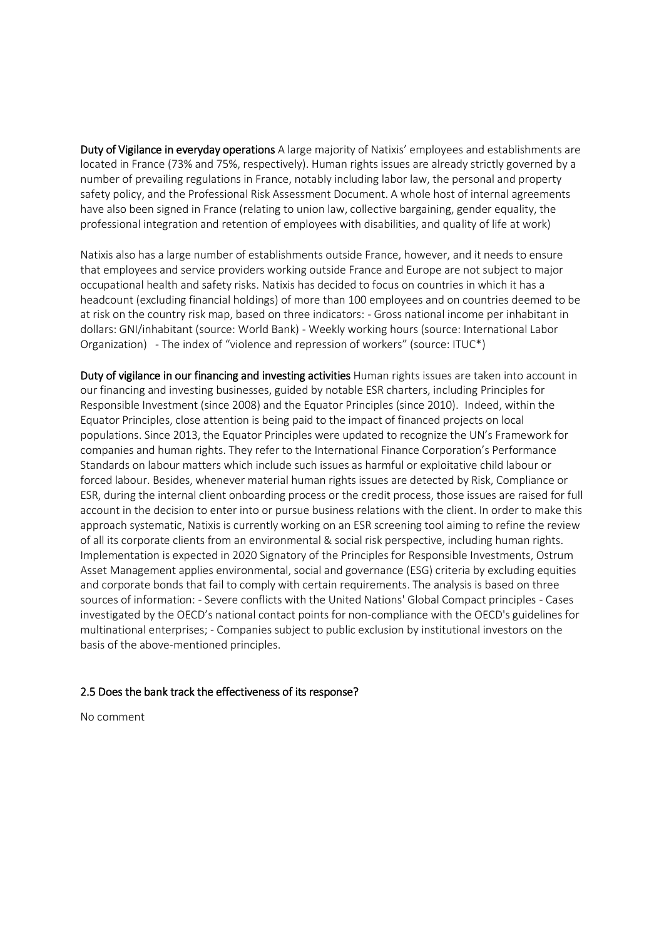Duty of Vigilance in everyday operations A large majority of Natixis' employees and establishments are located in France (73% and 75%, respectively). Human rights issues are already strictly governed by a number of prevailing regulations in France, notably including labor law, the personal and property safety policy, and the Professional Risk Assessment Document. A whole host of internal agreements have also been signed in France (relating to union law, collective bargaining, gender equality, the professional integration and retention of employees with disabilities, and quality of life at work)

Natixis also has a large number of establishments outside France, however, and it needs to ensure that employees and service providers working outside France and Europe are not subject to major occupational health and safety risks. Natixis has decided to focus on countries in which it has a headcount (excluding financial holdings) of more than 100 employees and on countries deemed to be at risk on the country risk map, based on three indicators: - Gross national income per inhabitant in dollars: GNI/inhabitant (source: World Bank) - Weekly working hours (source: International Labor Organization) - The index of "violence and repression of workers" (source: ITUC\*)

Duty of vigilance in our financing and investing activities Human rights issues are taken into account in our financing and investing businesses, guided by notable ESR charters, including Principles for Responsible Investment (since 2008) and the Equator Principles (since 2010). Indeed, within the Equator Principles, close attention is being paid to the impact of financed projects on local populations. Since 2013, the Equator Principles were updated to recognize the UN's Framework for companies and human rights. They refer to the International Finance Corporation's Performance Standards on labour matters which include such issues as harmful or exploitative child labour or forced labour. Besides, whenever material human rights issues are detected by Risk, Compliance or ESR, during the internal client onboarding process or the credit process, those issues are raised for full account in the decision to enter into or pursue business relations with the client. In order to make this approach systematic, Natixis is currently working on an ESR screening tool aiming to refine the review of all its corporate clients from an environmental & social risk perspective, including human rights. Implementation is expected in 2020 Signatory of the Principles for Responsible Investments, Ostrum Asset Management applies environmental, social and governance (ESG) criteria by excluding equities and corporate bonds that fail to comply with certain requirements. The analysis is based on three sources of information: - Severe conflicts with the United Nations' Global Compact principles - Cases investigated by the OECD's national contact points for non-compliance with the OECD's guidelines for multinational enterprises; - Companies subject to public exclusion by institutional investors on the basis of the above-mentioned principles.

#### 2.5 Does the bank track the effectiveness of its response?

No comment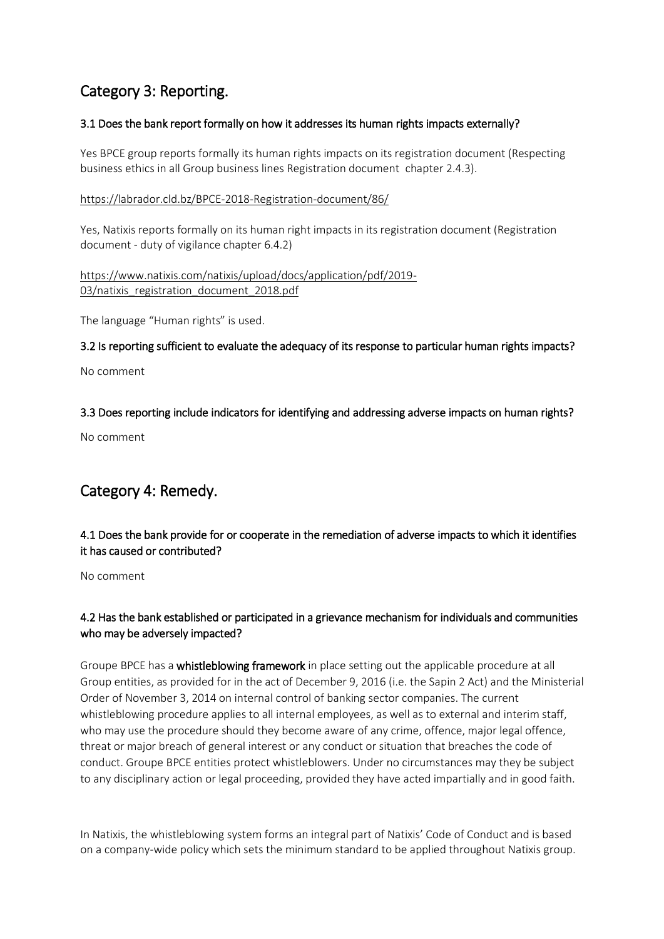# Category 3: Reporting.

## 3.1 Does the bank report formally on how it addresses its human rights impacts externally?

Yes BPCE group reports formally its human rights impacts on its registration document (Respecting business ethics in all Group business lines Registration document chapter 2.4.3).

### <https://labrador.cld.bz/BPCE-2018-Registration-document/86/>

Yes, Natixis reports formally on its human right impacts in its registration document (Registration document - duty of vigilance chapter 6.4.2)

[https://www.natixis.com/natixis/upload/docs/application/pdf/2019-](https://www.natixis.com/natixis/upload/docs/application/pdf/2019-03/natixis_registration_document_2018.pdf) 03/natixis registration document 2018.pdf

The language "Human rights" is used.

3.2 Is reporting sufficient to evaluate the adequacy of its response to particular human rights impacts?

No comment

## 3.3 Does reporting include indicators for identifying and addressing adverse impacts on human rights?

No comment

# Category 4: Remedy.

# 4.1 Does the bank provide for or cooperate in the remediation of adverse impacts to which it identifies it has caused or contributed?

No comment

# 4.2 Has the bank established or participated in a grievance mechanism for individuals and communities who may be adversely impacted?

Groupe BPCE has a whistleblowing framework in place setting out the applicable procedure at all Group entities, as provided for in the act of December 9, 2016 (i.e. the Sapin 2 Act) and the Ministerial Order of November 3, 2014 on internal control of banking sector companies. The current whistleblowing procedure applies to all internal employees, as well as to external and interim staff, who may use the procedure should they become aware of any crime, offence, major legal offence, threat or major breach of general interest or any conduct or situation that breaches the code of conduct. Groupe BPCE entities protect whistleblowers. Under no circumstances may they be subject to any disciplinary action or legal proceeding, provided they have acted impartially and in good faith.

In Natixis, the whistleblowing system forms an integral part of Natixis' Code of Conduct and is based on a company-wide policy which sets the minimum standard to be applied throughout Natixis group.